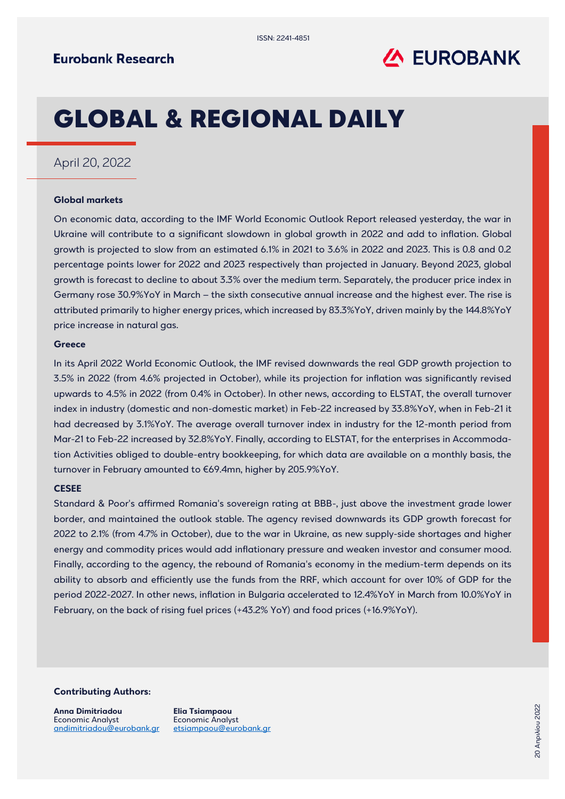

# GLOBAL & REGIONAL DAILY

### April 20, 2022

#### **Global markets**

On economic data, according to the IMF World Economic Outlook Report released yesterday, the war in Ukraine will contribute to a significant slowdown in global growth in 2022 and add to inflation. Global growth is projected to slow from an estimated 6.1% in 2021 to 3.6% in 2022 and 2023. This is 0.8 and 0.2 percentage points lower for 2022 and 2023 respectively than projected in January. Beyond 2023, global growth is forecast to decline to about 3.3% over the medium term. Separately, the producer price index in Germany rose 30.9%YoY in March – the sixth consecutive annual increase and the highest ever. The rise is attributed primarily to higher energy prices, which increased by 83.3%YoY, driven mainly by the 144.8%YoY price increase in natural gas.

#### **Greece**

In its April 2022 World Economic Outlook, the IMF revised downwards the real GDP growth projection to 3.5% in 2022 (from 4.6% projected in October), while its projection for inflation was significantly revised upwards to 4.5% in 2022 (from 0.4% in October). In other news, according to ELSTAT, the overall turnover index in industry (domestic and non-domestic market) in Feb-22 increased by 33.8%YoY, when in Feb-21 it had decreased by 3.1%YoY. The average overall turnover index in industry for the 12-month period from Mar-21 to Feb-22 increased by 32.8%YoY. Finally, according to ELSTAT, for the enterprises in Accommodation Activities obliged to double-entry bookkeeping, for which data are available on a monthly basis, the turnover in February amounted to €69.4mn, higher by 205.9%YoY.

#### **CESEE**

Standard & Poor's affirmed Romania's sovereign rating at BBB-, just above the investment grade lower border, and maintained the outlook stable. The agency revised downwards its GDP growth forecast for 2022 to 2.1% (from 4.7% in October), due to the war in Ukraine, as new supply-side shortages and higher energy and commodity prices would add inflationary pressure and weaken investor and consumer mood. Finally, according to the agency, the rebound of Romania's economy in the medium-term depends on its ability to absorb and efficiently use the funds from the RRF, which account for over 10% of GDP for the period 2022-2027. In other news, inflation in Bulgaria accelerated to 12.4%YoY in March from 10.0%YoY in February, on the back of rising fuel prices (+43.2% YoY) and food prices (+16.9%YoY).

#### **Contributing Authors:**

**Anna Dimitriadou** Economic Analyst [andimitriadou@eurobank.gr](mailto:andimitriadou@eurobank.gr)

**Elia Tsiampaou** Economic Analyst [etsiampaou@eurobank.gr](mailto:etsiampaou@eurobank.gr)